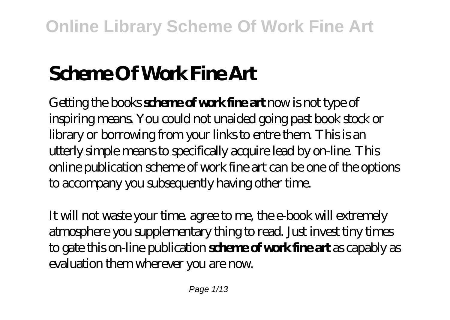# **Scheme Of Work Fine Art**

Getting the books **scheme of work fine art** now is not type of inspiring means. You could not unaided going past book stock or library or borrowing from your links to entre them. This is an utterly simple means to specifically acquire lead by on-line. This online publication scheme of work fine art can be one of the options to accompany you subsequently having other time.

It will not waste your time. agree to me, the e-book will extremely atmosphere you supplementary thing to read. Just invest tiny times to gate this on-line publication **scheme of work fine art** as capably as evaluation them wherever you are now.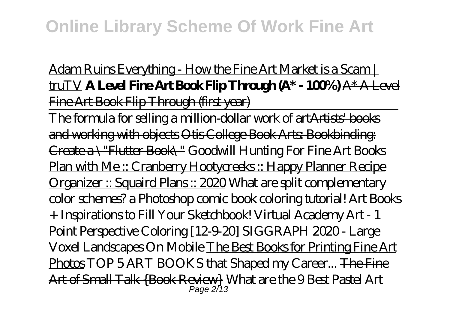## Adam Ruins Everything - How the Fine Art Market is a Scam | truTV **A Level Fine Art Book Flip Through (A\* - 100%)** A\* A Level Fine Art Book Flip Through (first year)

The formula for selling a million-dollar work of artArtists' books and working with objects Otis College Book Arts: Bookbinding: Create a \"Flutter Book\" *Goodwill Hunting For Fine Art Books* Plan with Me :: Cranberry Hootycreeks :: Happy Planner Recipe Organizer :: Squaird Plans :: 2020 What are split complementary color schemes? a Photoshop comic book coloring tutorial! Art Books + Inspirations to Fill Your Sketchbook! *Virtual Academy Art - 1 Point Perspective Coloring [12-9-20]* SIGGRAPH 2020 - Large Voxel Landscapes On Mobile The Best Books for Printing Fine Art Photos *TOP 5 ART BOOKS that Shaped my Career...* The Fine Art of Small Talk {Book Review} *What are the 9 Best Pastel Art* Page 2/13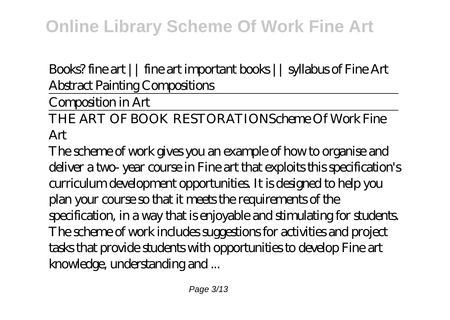*Books? fine art || fine art important books || syllabus of Fine Art Abstract Painting Compositions*

Composition in Art

THE ART OF BOOK RESTORATION*Scheme Of Work Fine Art*

The scheme of work gives you an example of how to organise and deliver a two- year course in Fine art that exploits this specification's curriculum development opportunities. It is designed to help you plan your course so that it meets the requirements of the specification, in a way that is enjoyable and stimulating for students. The scheme of work includes suggestions for activities and project tasks that provide students with opportunities to develop Fine art knowledge, understanding and ...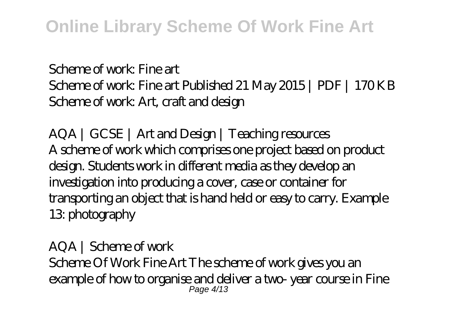### *Scheme of work: Fine art*

Scheme of work: Fine art Published 21 May 2015 | PDF | 170 KB Scheme of work: Art, craft and design

*AQA | GCSE | Art and Design | Teaching resources* A scheme of work which comprises one project based on product design. Students work in different media as they develop an investigation into producing a cover, case or container for transporting an object that is hand held or easy to carry. Example 13: photography

### *AQA | Scheme of work* Scheme Of Work Fine Art The scheme of work gives you an example of how to organise and deliver a two- year course in Fine Page 4/13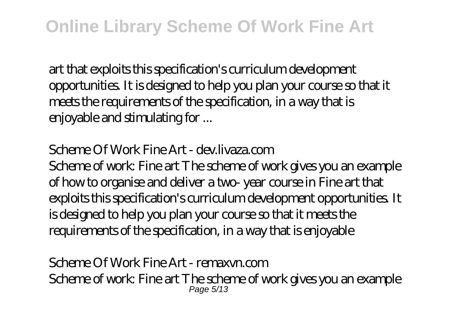art that exploits this specification's curriculum development opportunities. It is designed to help you plan your course so that it meets the requirements of the specification, in a way that is enjoyable and stimulating for ...

### *Scheme Of Work Fine Art - dev.livaza.com*

Scheme of work: Fine art The scheme of work gives you an example of how to organise and deliver a two- year course in Fine art that exploits this specification's curriculum development opportunities. It is designed to help you plan your course so that it meets the requirements of the specification, in a way that is enjoyable

#### *Scheme Of Work Fine Art - remaxvn.com* Scheme of work: Fine art The scheme of work gives you an example Page 5/13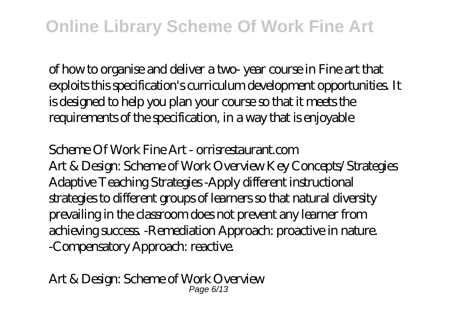of how to organise and deliver a two- year course in Fine art that exploits this specification's curriculum development opportunities. It is designed to help you plan your course so that it meets the requirements of the specification, in a way that is enjoyable

*Scheme Of Work Fine Art - orrisrestaurant.com* Art & Design: Scheme of Work Overview Key Concepts/Strategies Adaptive Teaching Strategies -Apply different instructional strategies to different groups of learners so that natural diversity prevailing in the classroom does not prevent any learner from achieving success. -Remediation Approach: proactive in nature. -Compensatory Approach: reactive.

*Art & Design: Scheme of Work Overview* Page 6/13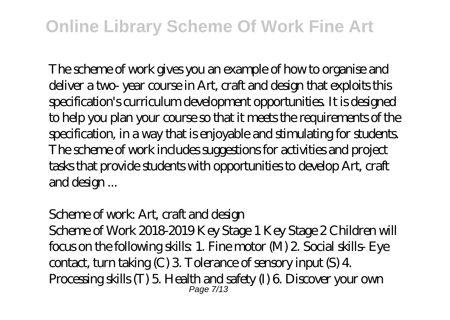The scheme of work gives you an example of how to organise and deliver a two- year course in Art, craft and design that exploits this specification's curriculum development opportunities. It is designed to help you plan your course so that it meets the requirements of the specification, in a way that is enjoyable and stimulating for students. The scheme of work includes suggestions for activities and project tasks that provide students with opportunities to develop Art, craft and design ...

### *Scheme of work: Art, craft and design*

Scheme of Work 2018-2019 Key Stage 1 Key Stage 2 Children will focus on the following skills: 1. Fine motor (M) 2. Social skills- Eye contact, turn taking (C) 3. Tolerance of sensory input (S) 4. Processing skills (T) 5. Health and safety (I) 6. Discover your own Page 7/13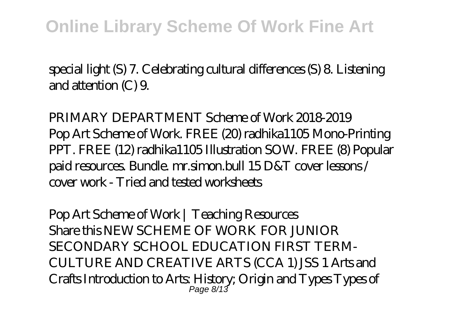special light (S) 7. Celebrating cultural differences (S) 8. Listening and attention (C) 9.

*PRIMARY DEPARTMENT Scheme of Work 2018-2019* Pop Art Scheme of Work. FREE (20) radhika1105 Mono-Printing PPT. FREE (12) radhika1105 Illustration SOW. FREE (8) Popular paid resources. Bundle. mr.simon.bull 15 D&T cover lessons / cover work - Tried and tested worksheets

*Pop Art Scheme of Work | Teaching Resources* Share this NEW SCHEME OF WORK FOR JUNIOR SECONDARY SCHOOL EDUCATION FIRST TERM-CULTURE AND CREATIVE ARTS (CCA 1) JSS 1 Arts and Crafts Introduction to Arts: History; Origin and Types Types of Page 8/13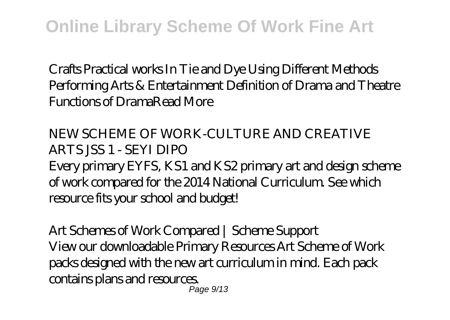Crafts Practical works In Tie and Dye Using Different Methods Performing Arts & Entertainment Definition of Drama and Theatre Functions of DramaRead More

*NEW SCHEME OF WORK-CULTURE AND CREATIVE ARTS JSS 1 - SEYI DIPO* Every primary EYFS, KS1 and KS2 primary art and design scheme of work compared for the 2014 National Curriculum. See which resource fits your school and budget!

*Art Schemes of Work Compared | Scheme Support* View our downloadable Primary Resources Art Scheme of Work packs designed with the new art curriculum in mind. Each pack contains plans and resources. Page 9/13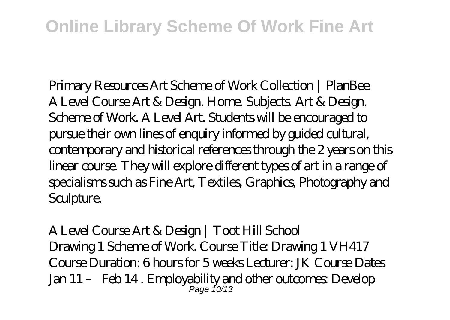*Primary Resources Art Scheme of Work Collection | PlanBee* A Level Course Art & Design. Home. Subjects. Art & Design. Scheme of Work. A Level Art. Students will be encouraged to pursue their own lines of enquiry informed by guided cultural, contemporary and historical references through the 2 years on this linear course. They will explore different types of art in a range of specialisms such as Fine Art, Textiles, Graphics, Photography and Sculpture.

*A Level Course Art & Design | Toot Hill School* Drawing 1 Scheme of Work. Course Title: Drawing 1 VH417 Course Duration: 6 hours for 5 weeks Lecturer: JK Course Dates Jan 11 – Feb 14 . Employability and other outcomes: Develop Page 10/13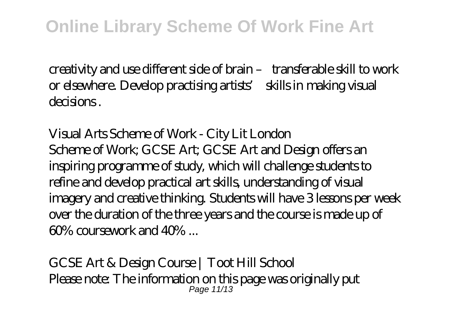creativity and use different side of brain – transferable skill to work or elsewhere. Develop practising artists' skills in making visual decisions .

*Visual Arts Scheme of Work - City Lit London* Scheme of Work; GCSE Art; GCSE Art and Design offers an inspiring programme of study, which will challenge students to refine and develop practical art skills, understanding of visual imagery and creative thinking. Students will have 3 lessons per week over the duration of the three years and the course is made up of  $60\%$  coursework and  $40\%$ 

*GCSE Art & Design Course | Toot Hill School* Please note: The information on this page was originally put Page 11/13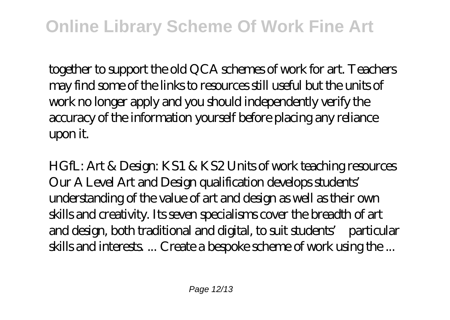together to support the old QCA schemes of work for art. Teachers may find some of the links to resources still useful but the units of work no longer apply and you should independently verify the accuracy of the information yourself before placing any reliance upon it.

*HGfL: Art & Design: KS1 & KS2 Units of work teaching resources* Our A Level Art and Design qualification develops students' understanding of the value of art and design as well as their own skills and creativity. Its seven specialisms cover the breadth of art and design, both traditional and digital, to suit students' particular skills and interests. ... Create a bespoke scheme of work using the ...